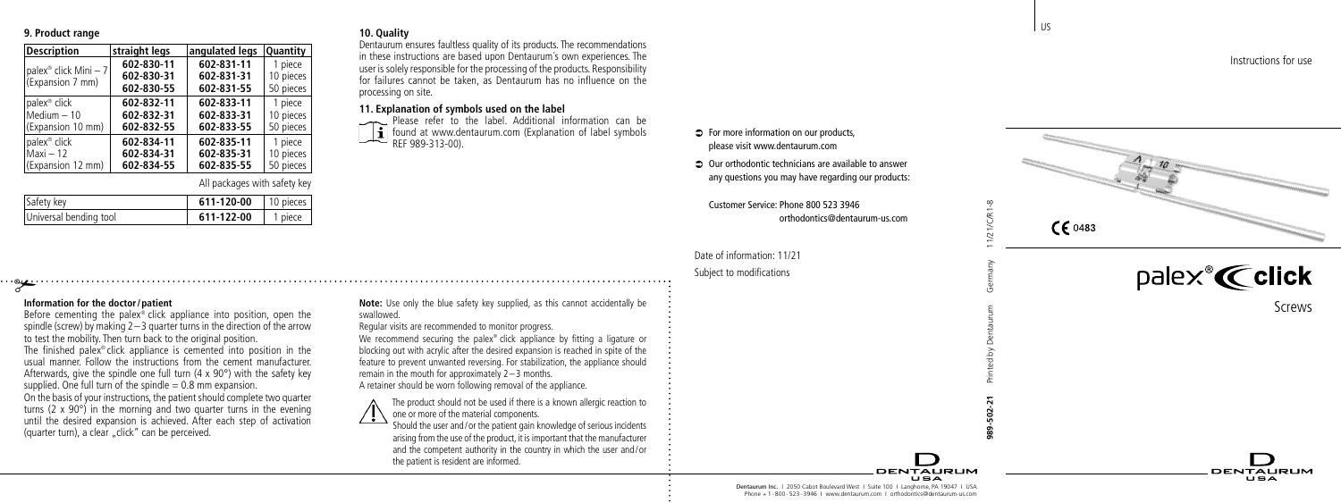### **9. Product range**

| <b>Description</b>                                    | straight legs | angulated legs | <b>Quantity</b> |
|-------------------------------------------------------|---------------|----------------|-----------------|
| palex <sup>®</sup> click Mini - 7<br>(Expansion 7 mm) | 602-830-11    | 602-831-11     | 1 piece         |
|                                                       | 602-830-31    | 602-831-31     | 10 pieces       |
|                                                       | 602-830-55    | 602-831-55     | 50 pieces       |
| palex <sup>®</sup> click                              | 602-832-11    | 602-833-11     | 1 piece         |
| $Median - 10$                                         | 602-832-31    | 602-833-31     | 10 pieces       |
| (Expansion 10 mm)                                     | 602-832-55    | 602-833-55     | 50 pieces       |
| palex <sup>®</sup> click                              | 602-834-11    | 602-835-11     | 1 piece         |
| $Maxi - 12$                                           | 602-834-31    | 602-835-31     | 10 pieces       |
| (Expansion 12 mm)                                     | 602-834-55    | 602-835-55     | 50 pieces       |

# All packages with safety key

| Safety key             | 611-120-00   10 pieces |         |
|------------------------|------------------------|---------|
| Universal bending tool | 611-122-00             | 1 piece |

# # **Information for the doctor /patient**

Before cementing the palex ® click appliance into position, open the spindle (screw) by making 2 – 3 quarter turns in the direction of the arrow to test the mobility. Then turn back to the original position. The finished palex ® click appliance is cemented into position in the usual manner. Follow the instructions from the cement manufacturer. Afterwards, give the spindle one full turn  $(4 \times 90^\circ)$  with the safety key supplied. One full turn of the spindle  $= 0.8$  mm expansion. On the basis of your instructions, the patient should complete two quarter turns (2 x 90°) in the morning and two quarter turns in the evening until the desired expansion is achieved. After each step of activation (quarter turn), a clear "click" can be perceived.

#### **10. Quality**

swallowed.

Dentaurum ensures faultless quality of its products. The recommendations in these instructions are based upon Dentaurum´s own experiences. The user is solely responsible for the processing of the products. Responsibility for failures cannot be taken, as Dentaurum has no influence on the processing on site.

### **11. Explanation of symbols used on the label**

 Please refer to the label. Additional information can be **found at www.dentaurum.com** (Explanation of label symbols REF 989-313-00).

- $\Rightarrow$  For more information on our products please visit www.dentaurum.com
- $\supset$  Our orthodontic technicians are available to answer any questions you may have regarding our products:

Customer Service: Phone 800 523 3946 orthodontics@dentaurum-us.com

Date of information: 11/21 Subject to modifications





Screws

DENTALIBLIM  $\blacksquare$ 

Instructions for use

Dentaurum Inc. I 2050 Cabot Boulevard West I Suite 100 I Langhorne, PA 19047 I USA Phone + 1 - 800 - 523 - 3946 | www.dentaurum.com | orthodontics@dentaurum-us.com

**DENTALIBLIM** 

**Note:** Use only the blue safety key supplied, as this cannot accidentally be Regular visits are recommended to monitor progress.

We recommend securing the palex ® click appliance by fitting a ligature or blocking out with acrylic after the desired expansion is reached in spite of the feature to prevent unwanted reversing. For stabilization, the appliance should remain in the mouth for approximately 2 –3 months. A retainer should be worn following removal of the appliance.

The product should not be used if there is a known allergic reaction to one or more of the material components.

Should the user and /or the patient gain knowledge of serious incidents arising from the use of the product, it is important that the manufacturer and the competent authority in the country in which the user and /or the patient is resident are informed.

US